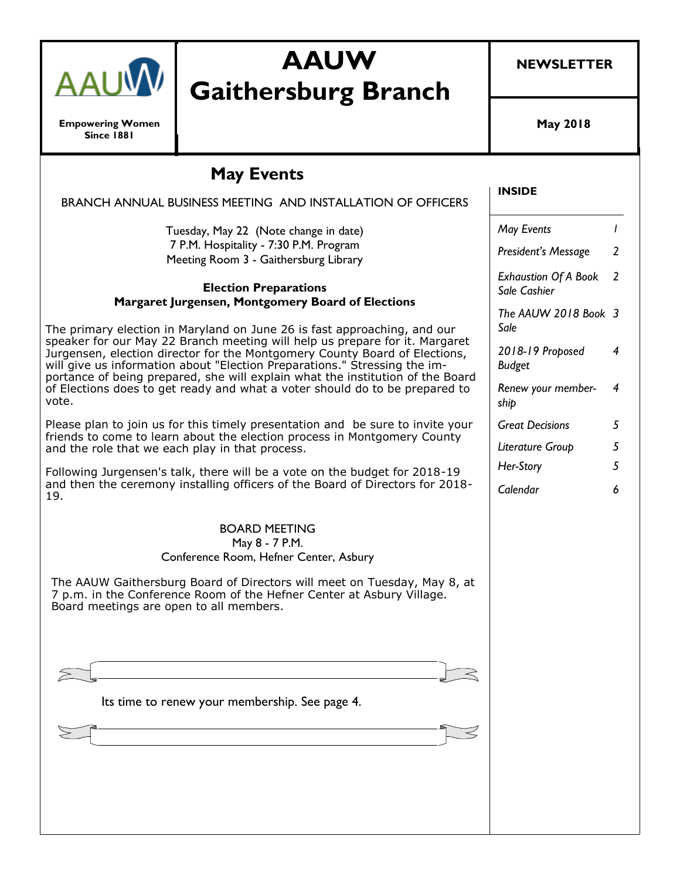

**Empowering Women Since 1881**

# **AAUW Gaithersburg Branch**

**NEWSLETTER**

**May 2018**

**INSIDE**

## **May Events**

| BRANCH ANNUAL BUSINESS MEETING AND INSTALLATION OF OFFICERS                                                                                                                                                                                                                                                              |                                             |                |
|--------------------------------------------------------------------------------------------------------------------------------------------------------------------------------------------------------------------------------------------------------------------------------------------------------------------------|---------------------------------------------|----------------|
| Tuesday, May 22 (Note change in date)<br>7 P.M. Hospitality - 7:30 P.M. Program                                                                                                                                                                                                                                          | May Events                                  | $\overline{1}$ |
| Meeting Room 3 - Gaithersburg Library                                                                                                                                                                                                                                                                                    | President's Message                         | 2              |
| <b>Election Preparations</b><br>Margaret Jurgensen, Montgomery Board of Elections                                                                                                                                                                                                                                        | <b>Exhaustion Of A Book</b><br>Sale Cashier | 2              |
| The primary election in Maryland on June 26 is fast approaching, and our                                                                                                                                                                                                                                                 | The AAUW 2018 Book 3<br>Sale                |                |
| speaker for our May 22 Branch meeting will help us prepare for it. Margaret<br>Jurgensen, election director for the Montgomery County Board of Elections,<br>will give us information about "Election Preparations." Stressing the im-<br>portance of being prepared, she will explain what the institution of the Board | 2018-19 Proposed<br><b>Budget</b>           | $\overline{4}$ |
| of Elections does to get ready and what a voter should do to be prepared to<br>vote.                                                                                                                                                                                                                                     | Renew your member-<br>ship                  | 4              |
| Please plan to join us for this timely presentation and be sure to invite your                                                                                                                                                                                                                                           | <b>Great Decisions</b>                      | 5              |
| friends to come to learn about the election process in Montgomery County<br>and the role that we each play in that process.                                                                                                                                                                                              | Literature Group                            | 5              |
| Following Jurgensen's talk, there will be a vote on the budget for 2018-19                                                                                                                                                                                                                                               | Her-Story                                   | 5              |
| and then the ceremony installing officers of the Board of Directors for 2018-<br>19.                                                                                                                                                                                                                                     | Calendar                                    | 6              |
| <b>BOARD MEETING</b><br>May 8 - 7 P.M.<br>Conference Room, Hefner Center, Asbury<br>The AAUW Gaithersburg Board of Directors will meet on Tuesday, May 8, at                                                                                                                                                             |                                             |                |
| 7 p.m. in the Conference Room of the Hefner Center at Asbury Village.<br>Board meetings are open to all members.                                                                                                                                                                                                         |                                             |                |
|                                                                                                                                                                                                                                                                                                                          |                                             |                |
|                                                                                                                                                                                                                                                                                                                          |                                             |                |
| Its time to renew your membership. See page 4.                                                                                                                                                                                                                                                                           |                                             |                |
|                                                                                                                                                                                                                                                                                                                          |                                             |                |
|                                                                                                                                                                                                                                                                                                                          |                                             |                |
|                                                                                                                                                                                                                                                                                                                          |                                             |                |
|                                                                                                                                                                                                                                                                                                                          |                                             |                |
|                                                                                                                                                                                                                                                                                                                          |                                             |                |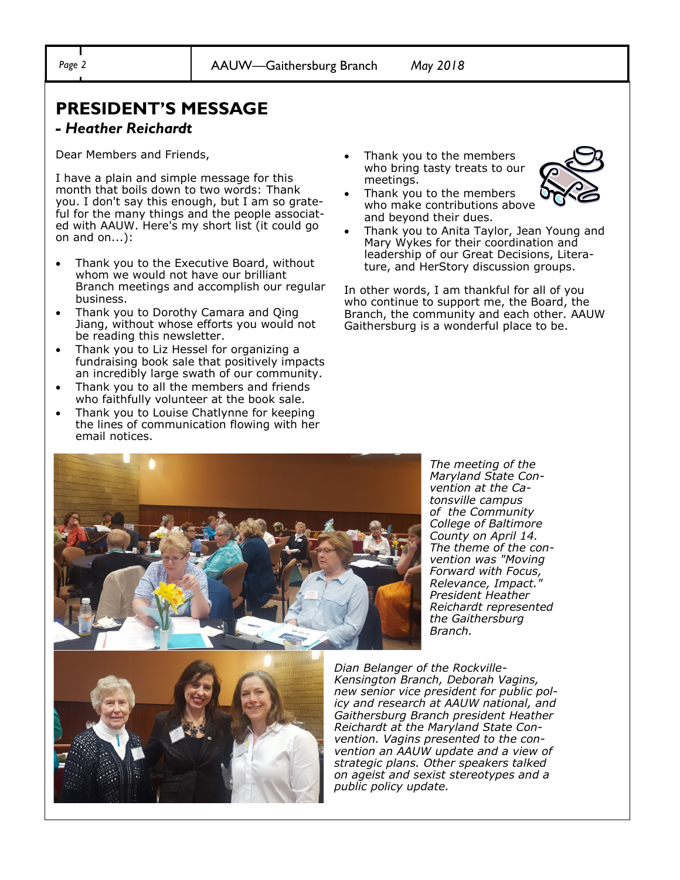# **PRESIDENT'S MESSAGE**

### *- Heather Reichardt*

Dear Members and Friends,

I have a plain and simple message for this month that boils down to two words: Thank you. I don't say this enough, but I am so grateful for the many things and the people associated with AAUW. Here's my short list (it could go on and on...):

- Thank you to the Executive Board, without whom we would not have our brilliant Branch meetings and accomplish our regular business.
- Thank you to Dorothy Camara and Qing Jiang, without whose efforts you would not be reading this newsletter.
- Thank you to Liz Hessel for organizing a fundraising book sale that positively impacts an incredibly large swath of our community.
- Thank you to all the members and friends who faithfully volunteer at the book sale.
- Thank you to Louise Chatlynne for keeping the lines of communication flowing with her email notices.

• Thank you to the members who bring tasty treats to our meetings.



- Thank you to the members who make contributions above and beyond their dues.
- Thank you to Anita Taylor, Jean Young and Mary Wykes for their coordination and leadership of our Great Decisions, Literature, and HerStory discussion groups.

In other words, I am thankful for all of you who continue to support me, the Board, the Branch, the community and each other. AAUW Gaithersburg is a wonderful place to be.



*The meeting of the Maryland State Convention at the Catonsville campus of the Community College of Baltimore County on April 14. The theme of the convention was "Moving Forward with Focus, Relevance, Impact." President Heather Reichardt represented the Gaithersburg Branch.*



*Dian Belanger of the Rockville-Kensington Branch, Deborah Vagins, new senior vice president for public policy and research at AAUW national, and Gaithersburg Branch president Heather Reichardt at the Maryland State Convention. Vagins presented to the convention an AAUW update and a view of strategic plans. Other speakers talked on ageist and sexist stereotypes and a public policy update.*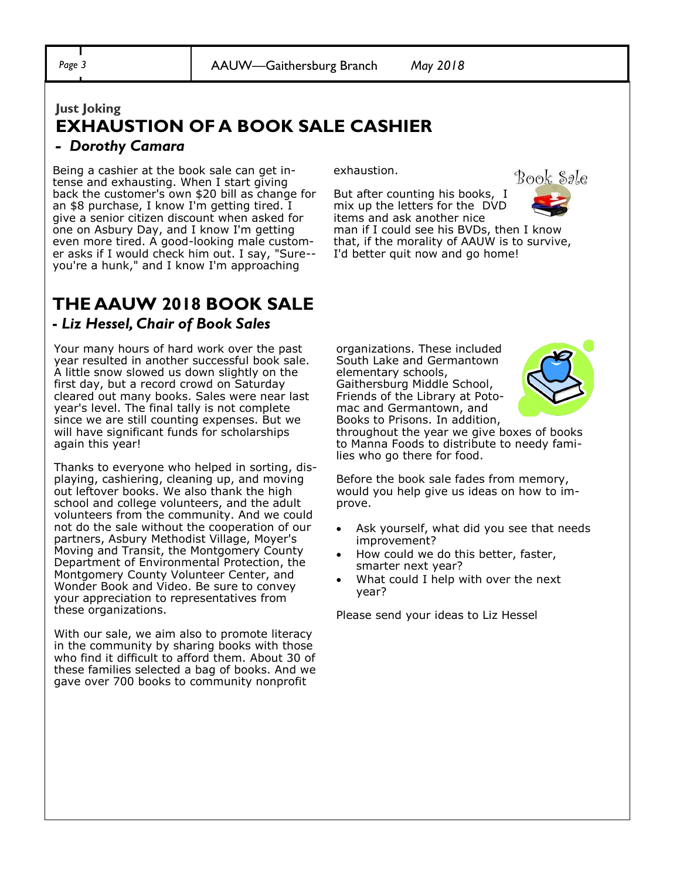## **Just Joking EXHAUSTION OF A BOOK SALE CASHIER**

### *- Dorothy Camara*

Being a cashier at the book sale can get intense and exhausting. When I start giving back the customer's own \$20 bill as change for an \$8 purchase, I know I'm getting tired. I give a senior citizen discount when asked for one on Asbury Day, and I know I'm getting even more tired. A good-looking male customer asks if I would check him out. I say, "Sure- you're a hunk," and I know I'm approaching

exhaustion.

But after counting his books, I mix up the letters for the DVD items and ask another nice



man if I could see his BVDs, then I know that, if the morality of AAUW is to survive, I'd better quit now and go home!

### **THE AAUW 2018 BOOK SALE -** *Liz Hessel, Chair of Book Sales*

Your many hours of hard work over the past year resulted in another successful book sale. A little snow slowed us down slightly on the first day, but a record crowd on Saturday cleared out many books. Sales were near last year's level. The final tally is not complete since we are still counting expenses. But we will have significant funds for scholarships again this year!

Thanks to everyone who helped in sorting, displaying, cashiering, cleaning up, and moving out leftover books. We also thank the high school and college volunteers, and the adult volunteers from the community. And we could not do the sale without the cooperation of our partners, Asbury Methodist Village, Moyer's Moving and Transit, the Montgomery County Department of Environmental Protection, the Montgomery County Volunteer Center, and Wonder Book and Video. Be sure to convey your appreciation to representatives from these organizations.

With our sale, we aim also to promote literacy in the community by sharing books with those who find it difficult to afford them. About 30 of these families selected a bag of books. And we gave over 700 books to community nonprofit

organizations. These included South Lake and Germantown elementary schools, Gaithersburg Middle School, Friends of the Library at Potomac and Germantown, and Books to Prisons. In addition,



throughout the year we give boxes of books to Manna Foods to distribute to needy families who go there for food.

Before the book sale fades from memory, would you help give us ideas on how to improve.

- Ask yourself, what did you see that needs improvement?
- How could we do this better, faster, smarter next year?
- What could I help with over the next year?

Please send your ideas to Liz Hessel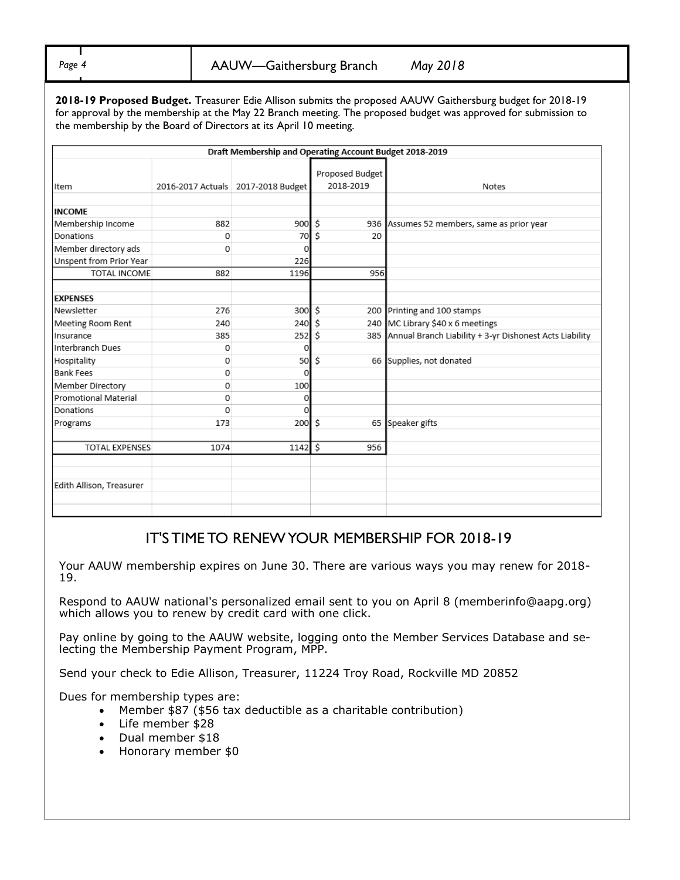*Page 4* AAUW—Gaithersburg Branch *May 2018*

**2018-19 Proposed Budget.** Treasurer Edie Allison submits the proposed AAUW Gaithersburg budget for 2018-19 for approval by the membership at the May 22 Branch meeting. The proposed budget was approved for submission to the membership by the Board of Directors at its April 10 meeting.

| Draft Membership and Operating Account Budget 2018-2019 |          |                                      |                              |                                                             |  |  |
|---------------------------------------------------------|----------|--------------------------------------|------------------------------|-------------------------------------------------------------|--|--|
| Item                                                    |          | 2016-2017 Actuals   2017-2018 Budget | Proposed Budget<br>2018-2019 | <b>Notes</b>                                                |  |  |
| <b>INCOME</b>                                           |          |                                      |                              |                                                             |  |  |
| Membership Income                                       | 882      | 900                                  | Ś                            | 936 Assumes 52 members, same as prior year                  |  |  |
| Donations                                               | 0        | 70                                   | Ś                            | 20                                                          |  |  |
| Member directory ads                                    | $\Omega$ | O                                    |                              |                                                             |  |  |
| Unspent from Prior Year                                 |          | 226                                  |                              |                                                             |  |  |
| TOTAL INCOME                                            | 882      | 1196                                 |                              | 956                                                         |  |  |
| <b>EXPENSES</b>                                         |          |                                      |                              |                                                             |  |  |
| Newsletter                                              | 276      | 300 \$                               |                              | 200 Printing and 100 stamps                                 |  |  |
| Meeting Room Rent                                       | 240      | 240                                  | ۱Ś                           | 240 MC Library \$40 x 6 meetings                            |  |  |
| Insurance                                               | 385      | 252                                  | l \$                         | 385 Annual Branch Liability + 3-yr Dishonest Acts Liability |  |  |
| Interbranch Dues                                        | 0        | 0                                    |                              |                                                             |  |  |
| Hospitality                                             | 0        | 50                                   | -\$                          | 66 Supplies, not donated                                    |  |  |
| <b>Bank Fees</b>                                        | 0        | 0                                    |                              |                                                             |  |  |
| Member Directory                                        | 0        | 100                                  |                              |                                                             |  |  |
| Promotional Material                                    | 0        | 0                                    |                              |                                                             |  |  |
| Donations                                               | $\Omega$ | $\Omega$                             |                              |                                                             |  |  |
| Programs                                                | 173      | 200                                  | Ś.                           | 65 Speaker gifts                                            |  |  |
| <b>TOTAL EXPENSES</b>                                   | 1074     | 1142                                 | ۱\$<br>956                   |                                                             |  |  |
| Edith Allison, Treasurer                                |          |                                      |                              |                                                             |  |  |

### IT'S TIME TO RENEW YOUR MEMBERSHIP FOR 2018-19

Your AAUW membership expires on June 30. There are various ways you may renew for 2018- 19.

Respond to AAUW national's personalized email sent to you on April 8 (memberinfo@aapg.org) which allows you to renew by credit card with one click.

Pay online by going to the AAUW website, logging onto the Member Services Database and selecting the Membership Payment Program, MPP.

Send your check to Edie Allison, Treasurer, 11224 Troy Road, Rockville MD 20852

Dues for membership types are:

- Member \$87 (\$56 tax deductible as a charitable contribution)
- Life member \$28
- Dual member \$18
- Honorary member \$0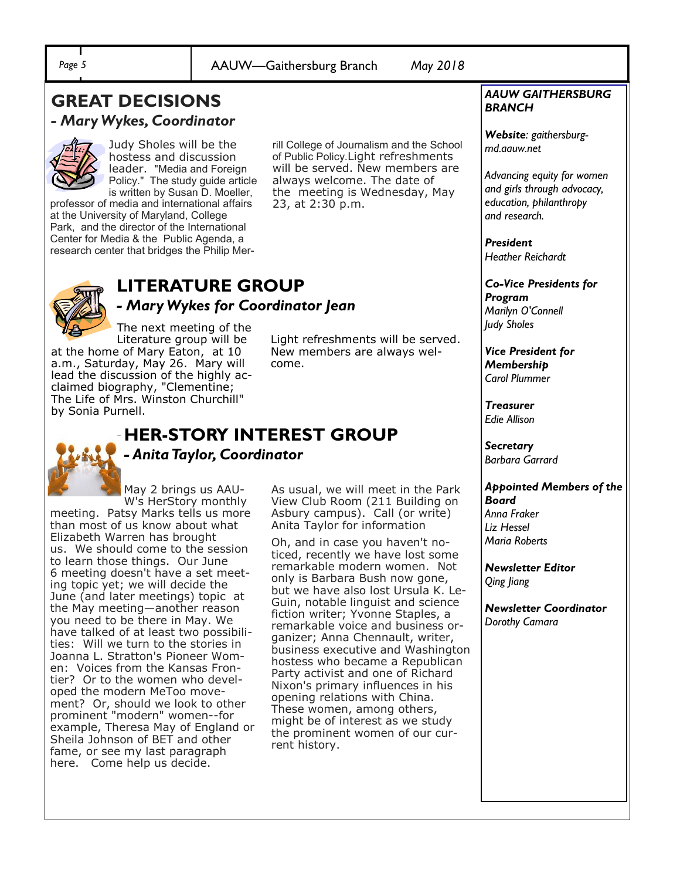### **GREAT DECISIONS**  *- Mary Wykes, Coordinator*



Judy Sholes will be the hostess and discussion leader. "Media and Foreign Policy." The study guide article is written by Susan D. Moeller,

professor of media and international affairs at the University of Maryland, College Park, and the director of the International Center for Media & the Public Agenda, a research center that bridges the Philip Merrill College of Journalism and the School of Public Policy.Light refreshments will be served. New members are always welcome. The date of the meeting is Wednesday, May 23, at 2:30 p.m.



# **LITERATURE GROUP**

*- Mary Wykes for Coordinator Jean* 

The next meeting of the Literature group will be

at the home of Mary Eaton, at 10 a.m., Saturday, May 26. Mary will lead the discussion of the highly acclaimed biography, "Clementine; The Life of Mrs. Winston Churchill" by Sonia Purnell.

Light refreshments will be served. New members are always welcome.

# **HER-STORY INTEREST GROUP**  *- Anita Taylor, Coordinator*

May 2 brings us AAU-W's HerStory monthly

meeting. Patsy Marks tells us more than most of us know about what Elizabeth Warren has brought us. We should come to the session to learn those things. Our June 6 meeting doesn't have a set meeting topic yet; we will decide the June (and later meetings) topic at the May meeting—another reason you need to be there in May. We have talked of at least two possibilities: Will we turn to the stories in Joanna L. Stratton's Pioneer Women: Voices from the Kansas Frontier? Or to the women who developed the modern MeToo movement? Or, should we look to other prominent "modern" women--for example, Theresa May of England or Sheila Johnson of BET and other fame, or see my last paragraph here. Come help us decide.

As usual, we will meet in the Park View Club Room (211 Building on Asbury campus). Call (or write) Anita Taylor for information

Oh, and in case you haven't noticed, recently we have lost some remarkable modern women. Not only is Barbara Bush now gone, but we have also lost Ursula K. Le-Guin, notable linguist and science fiction writer; Yvonne Staples, a remarkable voice and business organizer; Anna Chennault, writer, business executive and Washington hostess who became a Republican Party activist and one of Richard Nixon's primary influences in his opening relations with China. These women, among others, might be of interest as we study the prominent women of our current history.

### *AAUW GAITHERSBURG BRANCH*

*Website: gaithersburgmd.aauw.net* 

*Advancing equity for women and girls through advocacy, education, philanthropy and research.*

*President Heather Reichardt*

*Co-Vice Presidents for Program Marilyn O'Connell Judy Sholes*

*Vice President for Membership Carol Plummer*

*Treasurer Edie Allison*

*Secretary Barbara Garrard*

### *Appointed Members of the Board Anna Fraker Liz Hessel Maria Roberts*

*Newsletter Editor Qing Jiang*

*Newsletter Coordinator Dorothy Camara*